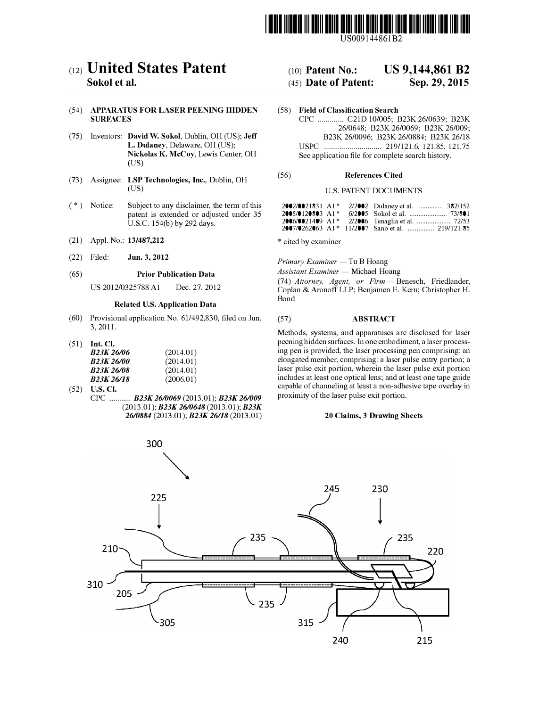

US009144861B2

# c12) **United States Patent**

# **Sokol et al.**

#### (54) **APPARATUS FOR LASER PEENING HIDDEN SURFACES**

- (75) Inventors: **David W. Sokol,** Dublin, OH (US); **Jeff L. Dulaney,** Delaware, OH (US); **Nickolas K. McCoy,** Lewis Center, OH (US)
- (73) Assignee: **LSP Technologies, Inc.,** Dublin, OH (US)
- $(*)$  Notice: Subject to any disclaimer, the term of this patent is extended or adjusted under 35 U.S.C. 154(b) by 292 days.
- (21) Appl. No.: **13/487,212**
- (22) Filed: **Jun. 3, 2012**

#### (65) **Prior Publication Data**

US 2012/0325788 Al Dec. 27, 2012

### **Related U.S. Application Data**

- (60) Provisional application No. 61/492,830, filed on Jun. 3, 2011.
- (51) **Int. Cl.**

| B23K 26/06                          | (2014.01) |
|-------------------------------------|-----------|
| <i>B23K 26/00</i>                   | (2014.01) |
| R23K 26/08                          | (2014.01) |
| B <sub>23</sub> K <sub>26</sub> /18 | (2006.01) |

- (52) **U.S. Cl.** 
	- CPC ........... *B23K 2610069* (2013.01); *B23K 261009* (2013.01); *B23K 2610648* (2013.01); *B23K 2610884* (2013.01); *B23K 26118* (2013.01)

# (IO) **Patent No.: US 9,144,861 B2**

# (45) **Date of Patent: Sep.29,2015**

(58) **Field of Classification Search** CPC ............. C21D 10/005; B23K 26/0639; B23K 26/0648; B23K 26/0069; B23K 26/009; B23K 26/0096; B23K 26/0884; B23K 26/18 USPC ............................. 219/121.6, 121.85, 121.75 See application file for complete search history.

#### (56) **References Cited**

#### U.S. PATENT DOCUMENTS

| $2002/0021831$ A1 <sup>*</sup> |  | 2/2002 Dulaney et al.  382/152 |
|--------------------------------|--|--------------------------------|
| 2005/0120803 A1*               |  |                                |
|                                |  |                                |
|                                |  |                                |

\* cited by examiner

*Primary Examiner* — Tu B Hoang

**Assistant Examiner - Michael Hoang** 

(74) *Attorney, Agent, or Firm* - Benesch, Friedlander, Coplan & Aronoff LLP; Benjamen E. Kern; Christopher H. Bond

#### (57) **ABSTRACT**

Methods, systems, and apparatuses are disclosed for laser peening hidden surfaces. In one embodiment, a laser processing pen is provided, the laser processing pen comprising: an elongated member, comprising: a laser pulse entry portion; a laser pulse exit portion, wherein the laser pulse exit portion includes at least one optical lens; and at least one tape guide capable of channeling at least a non-adhesive tape overlay in proximity of the laser pulse exit portion.

#### **20 Claims, 3 Drawing Sheets**

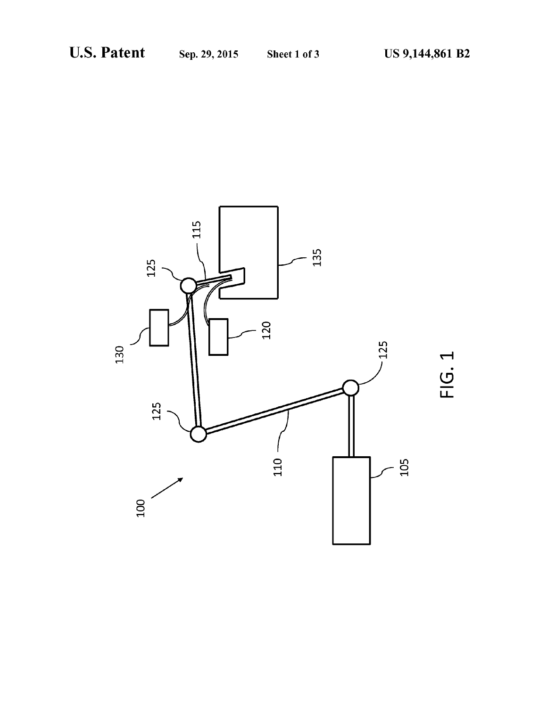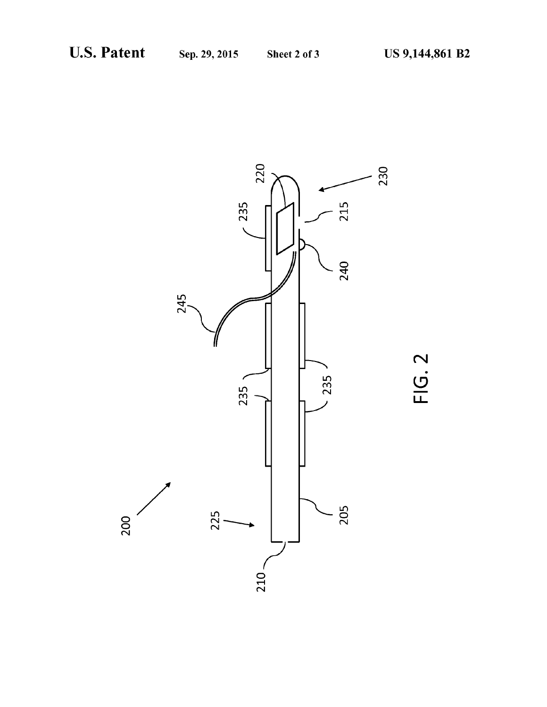

FIG. 2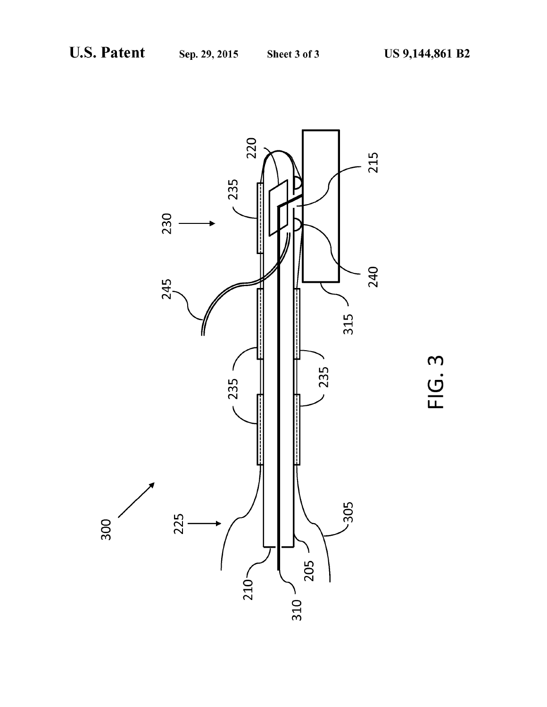

FIG. 3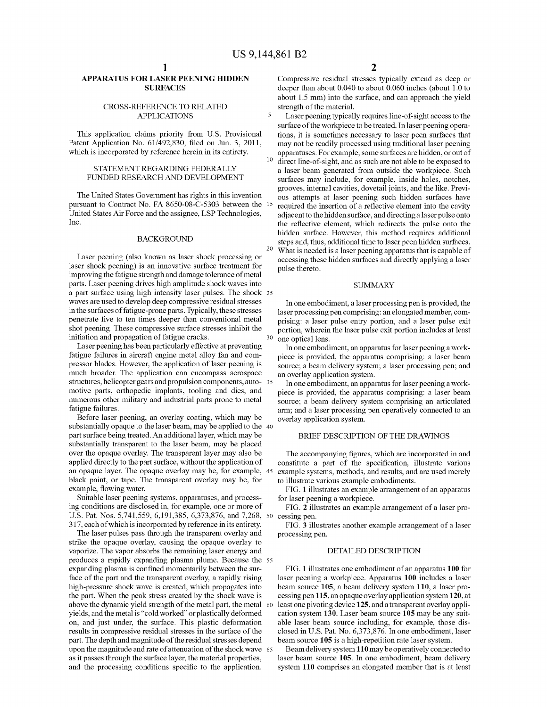$\overline{\mathbf{5}}$ 

### **APPARATUS FOR LASER PEENING HIDDEN SURFACES**

#### **CROSS-REFERENCE TO RELATED APPLICATIONS**

This application claims priority from U.S. Provisional Patent Application No. 61/492,830, filed on Jun. 3, 2011, which is incorporated by reference herein in its entirety.

#### STATEMENT REGARDING FEDERALLY FUNDED RESEARCH AND DEVELOPMENT

The United States Government has rights in this invention pursuant to Contract No. FA 8650-08-C-5303 between the 15 United States Air Force and the assignee, LSP Technologies, Inc.

#### **BACKGROUND**

Laser peening (also known as laser shock processing or laser shock peening) is an innovative surface treatment for improving the fatigue strength and damage tolerance of metal parts. Laser peening drives high amplitude shock waves into a part surface using high intensity laser pulses. The shock 25 waves are used to develop deep compressive residual stresses in the surfaces of fatigue-prone parts. Typically, these stresses penetrate five to ten times deeper than conventional metal shot peening. These compressive surface stresses inhibit the initiation and propagation of fatigue cracks.

Laser peening has been particularly effective at preventing fatigue failures in aircraft engine metal alloy fan and compressor blades. However, the application of laser peening is much broader. The application can encompass aerospace structures, helicopter gears and propulsion components, auto- 35 motive parts, orthopedic implants, tooling and dies, and numerous other military and industrial parts prone to metal fatigue failures.

Before laser peening, an overlay coating, which may be substantially opaque to the laser beam, may be applied to the 40 part surface being treated. An additional layer, which may be substantially transparent to the laser beam, may be placed over the opaque overlay. The transparent layer may also be applied directly to the part surface, without the application of an opaque layer. The opaque overlay may be, for example, 45 black paint, or tape. The transparent overlay may be, for example, flowing water.

Suitable laser peening systems, apparatuses, and processing conditions are disclosed in, for example, one or more of U.S. Pat. Nos. 5,741,559, 6,191,385, 6,373,876, and 7,268, 50 317, each of which is incorporated by reference in its entirety.

The laser pulses pass through the transparent overlay and strike the opaque overlay, causing the opaque overlay to vaporize. The vapor absorbs the remaining laser energy and produces a rapidly expanding plasma plume. Because the 55 expanding plasma is confined momentarily between the surface of the part and the transparent overlay, a rapidly rising high-pressure shock wave is created, which propagates into the part. When the peak stress created by the shock wave is above the dynamic yield strength of the metal part, the metal 60 yields, and the metal is "cold worked" or plastically deformed on, and just under, the surface. This plastic deformation results in compressive residual stresses in the surface of the part. The depth and magnitude of the residual stresses depend upon the magnitude and rate of attenuation of the shock wave 65 as it passes through the surface layer, the material properties, and the processing conditions specific to the application.

Compressive residual stresses typically extend as deep or deeper than about 0.040 to about 0.060 inches (about 1.0 to about 1.5 mm) into the surface, and can approach the yield strength of the material.

Laser peening typically requires line-of-sight access to the surface of the workpiece to be treated. In laser peening operations, it is sometimes necessary to laser peen surfaces that may not be readily processed using traditional laser peening apparatuses. For example, some surfaces are hidden, or out of direct line-of-sight, and as such are not able to be exposed to a laser beam generated from outside the workpiece. Such surfaces may include, for example, inside holes, notches, grooves, internal cavities, dovetail joints, and the like. Previous attempts at laser peening such hidden surfaces have required the insertion of a reflective element into the cavity adjacent to the hidden surface, and directing a laser pulse onto the reflective element, which redirects the pulse onto the hidden surface. However, this method requires additional steps and, thus, additional time to laser peen hidden surfaces. 20 What is needed is a laser peening apparatus that is capable of accessing these hidden surfaces and directly applying a laser pulse thereto.

#### **SUMMARY**

In one embodiment, a laser processing pen is provided, the laser processing pen comprising: an elongated member, comprising: a laser pulse entry portion, and a laser pulse exit portion, wherein the laser pulse exit portion includes at least one optical lens.

In one embodiment, an apparatus for laser peening a workpiece is provided, the apparatus comprising: a laser beam source; a beam delivery system; a laser processing pen; and an overlay application system.

In one embodiment, an apparatus for laser peening a workpiece is provided, the apparatus comprising: a laser beam source; a beam delivery system comprising an articulated arm; and a laser processing pen operatively connected to an overlay application system.

#### BRIEF DESCRIPTION OF THE DRAWINGS

The accompanying figures, which are incorporated in and constitute a part of the specification, illustrate various example systems, methods, and results, and are used merely to illustrate various example embodiments.

FIG. 1 illustrates an example arrangement of an apparatus for laser peening a workpiece.

FIG. 2 illustrates an example arrangement of a laser processing pen.

FIG. 3 illustrates another example arrangement of a laser processing pen.

#### DETAILED DESCRIPTION

FIG. 1 illustrates one embodiment of an apparatus 100 for laser peening a workpiece. Apparatus 100 includes a laser beam source 105, a beam delivery system 110, a laser processing pen 115, an opaque overlay application system 120, at least one pivoting device 125, and a transparent overlay application system 130. Laser beam source 105 may be any suitable laser beam source including, for example, those disclosed in U.S. Pat. No. 6,373,876. In one embodiment, laser beam source 105 is a high-repetition rate laser system.

Beam delivery system 110 may be operatively connected to laser beam source 105. In one embodiment, beam delivery system 110 comprises an elongated member that is at least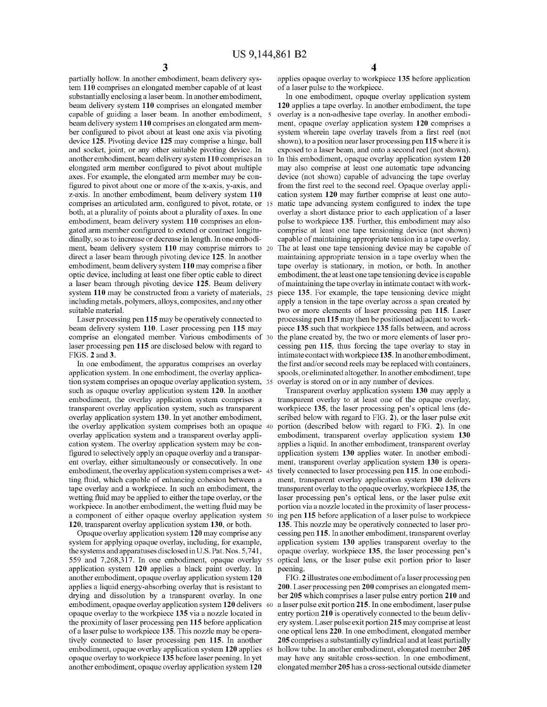partially hollow. In another embodiment, beam delivery system 110 comprises an elongated member capable of at least substantially enclosing a laser beam. In another embodiment, beam delivery system 110 comprises an elongated member capable of guiding a laser beam. In another embodiment, 5 beam delivery system 110 comprises an elongated arm member configured to pivot about at least one axis via pivoting device 125. Pivoting device 125 may comprise a hinge, ball and socket, joint, or any other suitable pivoting device. In another embodiment, beam delivery system 110 comprises an 10 elongated arm member configured to pivot about multiple axes. For example, the elongated arm member may be configured to pivot about one or more of the x-axis, y-axis, and z-axis. In another embodiment, beam delivery system 110 comprises an articulated arm, configured to pivot, rotate, or 15 both, at a plurality of points about a plurality of axes. In one embodiment, beam delivery system 110 comprises an elongated arm member configured to extend or contract longitudinally, so as to increase or decrease in length. In one embodiment, beam delivery system 110 may comprise mirrors to 20 direct a laser beam through pivoting device 125. In another embodiment, beam delivery system 110 may comprise a fiber optic device, including at least one fiber optic cable to direct a laser beam through pivoting device 125. Beam delivery system 110 may be constructed from a variety of materials, 25 including metals, polymers, alloys, composites, and any other suitable material.

Laser processing pen 115 may be operatively connected to beam delivery system 110. Laser processing pen 115 may comprise an elongated member. Various embodiments of 30 laser processing pen 115 are disclosed below with regard to FIGS. 2 and 3.

In one embodiment, the apparatus comprises an overlay application system. In one embodiment, the overlay application system comprises an opaque overlay application system, 35 such as opaque overlay application system 120. In another embodiment, the overlay application system comprises a transparent overlay application system, such as transparent overlay application system 130. In yet another embodiment, the overlay application system comprises both an opaque 40 overlay application system and a transparent overlay application system. The overlay application system may be configured to selectively apply an opaque overlay and a transparent overlay, either simultaneously or consecutively. In one embodiment, the overlay application system comprises a wet- 45 ting fluid, which capable of enhancing cohesion between a tape overlay and a workpiece. In such an embodiment, the wetting fluid may be applied to either the tape overlay, or the workpiece. In another embodiment, the wetting fluid may be a component of either opaque overlay application system 50 120, transparent overlay application system 130, or both.

Opaque overlay application system 120 may comprise any system for applying opaque overlay, including, for example, the systems and apparatuses disclosed in U.S. Pat. Nos. 5,741, 559 and 7,268,317. In one embodiment, opaque overlay 55 application system 120 applies a black paint overlay. In another embodiment, opaque overlay application system 120 applies a liquid energy-absorbing overlay that is resistant to drying and dissolution by a transparent overlay. In one embodiment, opaque overlay application system 120 delivers 60 opaque overlay to the workpiece 135 via a nozzle located in the proximity of laser processing pen 115 before application of a laser pulse to workpiece 135. This nozzle may be operatively connected to laser processing pen 115. In another embodiment, opaque overlay application system 120 applies 65 opaque overlay to workpiece 135 before laser peening. In yet another embodiment, opaque overlay application system 120

applies opaque overlay to workpiece 135 before application of a laser pulse to the workpiece.

In one embodiment, opaque overlay application system 120 applies a tape overlay. In another embodiment, the tape overlay is a non-adhesive tape overlay. In another embodiment, opaque overlay application system 120 comprises a system wherein tape overlay travels from a first reel (not shown), to a position near laser processing pen 115 where it is exposed to a laser beam, and onto a second reel (not shown). In this embodiment, opaque overlay application system 120 may also comprise at least one automatic tape advancing device (not shown) capable of advancing the tape overlay from the first reel to the second reel. Opaque overlay application system 120 may further comprise at least one automatic tape advancing system configured to index the tape overlay a short distance prior to each application of a laser pulse to workpiece 135. Further, this embodiment may also comprise at least one tape tensioning device (not shown) capable of maintaining appropriate tension in a tape overlay. The at least one tape tensioning device may be capable of maintaining appropriate tension in a tape overlay when the tape overlay is stationary, in motion, or both. In another embodiment, the at least one tape tensioning device is capable of maintaining the tape overlay in intimate contact with workpiece 135. For example, the tape tensioning device might apply a tension in the tape overlay across a span created by two or more elements of laser processing pen 115. Laser processing pen 115 may then be positioned adjacent to workpiece 135 such that workpiece 135 falls between, and across the plane created by, the two or more elements of laser processing pen 115, thus forcing the tape overlay to stay in intimate contact with workpiece 135. In another embodiment, the first and/or second reels may be replaced with containers, spools, or eliminated altogether. In another embodiment, tape overlay is stored on or in any number of devices.

Transparent overlay application system 130 may apply a transparent overlay to at least one of the opaque overlay, workpiece 135, the laser processing pen's optical lens (described below with regard to FIG. 2), or the laser pulse exit portion (described below with regard to FIG. 2). In one embodiment, transparent overlay application system 130 applies a liquid. In another embodiment, transparent overlay application system 130 applies water. In another embodiment, transparent overlay application system 130 is operatively connected to laser processing pen 115. In one embodiment, transparent overlay application system 130 delivers transparent overlay to the opaque overlay, workpiece 135, the laser processing pen's optical lens, or the laser pulse exit portion via a nozzle located in the proximity of laser processing pen 115 before application of a laser pulse to workpiece 135. This nozzle may be operatively connected to laser processing pen 115. In another embodiment, transparent overlay application system 130 applies transparent overlay to the opaque overlay, workpiece 135, the laser processing pen's optical lens, or the laser pulse exit portion prior to laser peening.

FIG. 2 illustrates one embodiment of a laser processing pen 200. Laser processing pen 200 comprises an elongated member 205 which comprises a laser pulse entry portion 210 and a laser pulse exit portion 215. In one embodiment, laser pulse entry portion 210 is operatively connected to the beam delivery system. Laser pulse exit portion 215 may comprise at least one optical lens 220. In one embodiment, elongated member 205 comprises a substantially cylindrical and at least partially hollow tube. In another embodiment, elongated member 205 may have any suitable cross-section. In one embodiment, elongated member 205 has a cross-sectional outside diameter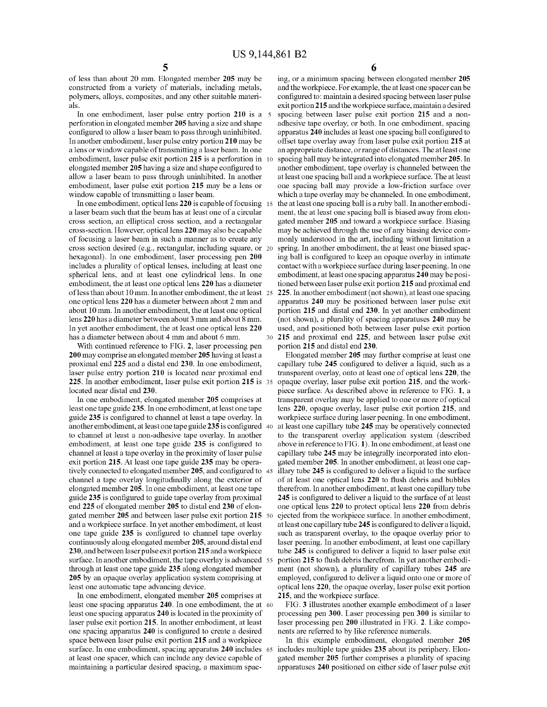of less than about 20 mm. Elongated member 205 may be constructed from a variety of materials, including metals, polymers, alloys, composites, and any other suitable materials.

In one embodiment, laser pulse entry portion 210 is a 5 perforation in elongated member 205 having a size and shape configured to allow a laser beam to pass through uninhibited. In another embodiment, laser pulse entry portion 210 may be a lens or window capable of transmitting a laser beam. In one embodiment, laser pulse exit portion 215 is a perforation in 10 elongated member 205 having a size and shape configured to allow a laser beam to pass through uninhibited. In another embodiment, laser pulse exit portion 215 may be a lens or window capable of transmitting a laser beam.

In one embodiment, optical lens  $220$  is capable of focusing 15 a laser beam such that the beam has at least one of a circular cross section, an elliptical cross section, and a rectangular cross-section. However, optical lens 220 may also be capable of focusing a laser beam in such a manner as to create any cross section desired (e.g., rectangular, including square, or 20) hexagonal). In one embodiment, laser processing pen 200 includes a plurality of optical lenses, including at least one spherical lens, and at least one cylindrical lens. In one embodiment, the at least one optical lens 220 has a diameter of less than about 10 mm. In another embodiment, the at least 25 one optical lens 220 has a diameter between about 2 mm and about 10 mm. In another embodiment, the at least one optical lens 220 has a diameter between about 3 mm and about 8 mm. In yet another embodiment, the at least one optical lens 220 has a diameter between about 4 mm and about 6 mm.

With continued reference to FIG. 2, laser processing pen 200 may comprise an elongated member 205 having at least a proximal end 225 and a distal end 230. In one embodiment, laser pulse entry portion 210 is located near proximal end 225. In another embodiment, laser pulse exit portion 215 is 35 located near distal end 230.

In one embodiment, elongated member 205 comprises at least one tape guide 235. In one embodiment, at least one tape guide 235 is configured to channel at least a tape overlay. In another embodiment, at least one tape guide 235 is configured 40 to channel at least a non-adhesive tape overlay. In another embodiment, at least one tape guide 235 is configured to channel at least a tape overlay in the proximity of laser pulse exit portion 215. At least one tape guide 235 may be operatively connected to elongated member 205, and configured to 45 channel a tape overlay longitudinally along the exterior of elongated member 205. In one embodiment, at least one tape guide 235 is configured to guide tape overlay from proximal end 225 of elongated member 205 to distal end 230 of elongated member 205 and between laser pulse exit portion 215 50 and a workpiece surface. In yet another embodiment, at least one tape guide 235 is configured to channel tape overlay continuously along elongated member 205, around distal end 230, and between laser pulse exit portion 215 and a workpiece surface. In another embodiment, the tape overlay is advanced 55 through at least one tape guide 235 along elongated member 205 by an opaque overlay application system comprising at least one automatic tape advancing device.

In one embodiment, elongated member 205 comprises at least one spacing apparatus 240. In one embodiment, the at 60 least one spacing apparatus 240 is located in the proximity of laser pulse exit portion 215. In another embodiment, at least one spacing apparatus 240 is configured to create a desired space between laser pulse exit portion 215 and a workpiece surface. In one embodiment, spacing apparatus 240 includes 65 at least one spacer, which can include any device capable of maintaining a particular desired spacing, a maximum spac6

ing, or a minimum spacing between elongated member 205 and the workpiece. For example, the at least one spacer can be configured to: maintain a desired spacing between laser pulse exit portion 215 and the workpiece surface, maintain a desired spacing between laser pulse exit portion 215 and a nonadhesive tape overlay, or both. In one embodiment, spacing apparatus 240 includes at least one spacing ball configured to offset tape overlay away from laser pulse exit portion 215 at an appropriate distance, or range of distances. The at least one spacing ball may be integrated into elongated member 205. In another embodiment, tape overlay is channeled between the at least one spacing ball and a workpiece surface. The at least one spacing ball may provide a low-friction surface over which a tape overlay may be channeled. In one embodiment, the at least one spacing ball is a ruby ball. In another embodiment, the at least one spacing ball is biased away from elongated member 205 and toward a workpiece surface. Biasing may be achieved through the use of any biasing device commonly understood in the art, including without limitation a spring. In another embodiment, the at least one biased spacing ball is configured to keep an opaque overlay in intimate contact with a workpiece surface during laser peening. In one embodiment, at least one spacing apparatus 240 may be positioned between laser pulse exit portion 215 and proximal end 225. In another embodiment (not shown), at least one spacing apparatus 240 may be positioned between laser pulse exit portion 215 and distal end 230. In yet another embodiment (not shown), a plurality of spacing apparatuses 240 may be used, and positioned both between laser pulse exit portion 215 and proximal end 225, and between laser pulse exit portion 215 and distal end 230.

Elongated member 205 may further comprise at least one capillary tube 245 configured to deliver a liquid, such as a transparent overlay, onto at least one of optical lens 220, the opaque overlay, laser pulse exit portion 215, and the workpiece surface. As described above in reference to FIG. 1, a transparent overlay may be applied to one or more of optical lens 220, opaque overlay, laser pulse exit portion 215, and workpiece surface during laser peening. In one embodiment, at least one capillary tube 245 may be operatively connected to the transparent overlay application system (described above in reference to FIG. 1). In one embodiment, at least one capillary tube 245 may be integrally incorporated into elongated member 205. In another embodiment, at least one capillary tube 245 is configured to deliver a liquid to the surface of at least one optical lens 220 to flush debris and bubbles therefrom. In another embodiment, at least one capillary tube 245 is configured to deliver a liquid to the surface of at least one optical lens 220 to protect optical lens 220 from debris ejected from the workpiece surface. In another embodiment, at least one capillary tube 245 is configured to deliver a liquid, such as transparent overlay, to the opaque overlay prior to laser peening. In another embodiment, at least one capillary tube 245 is configured to deliver a liquid to laser pulse exit portion 215 to flush debris therefrom. In yet another embodiment (not shown), a plurality of capillary tubes 245 are employed, configured to deliver a liquid onto one or more of optical lens 220, the opaque overlay, laser pulse exit portion 215, and the workpiece surface.

FIG. 3 illustrates another example embodiment of a laser processing pen 300. Laser processing pen 300 is similar to laser processing pen 200 illustrated in FIG. 2. Like components are referred to by like reference numerals.

In this example embodiment, elongated member 205 includes multiple tape guides 235 about its periphery. Elongated member 205 further comprises a plurality of spacing apparatuses 240 positioned on either side of laser pulse exit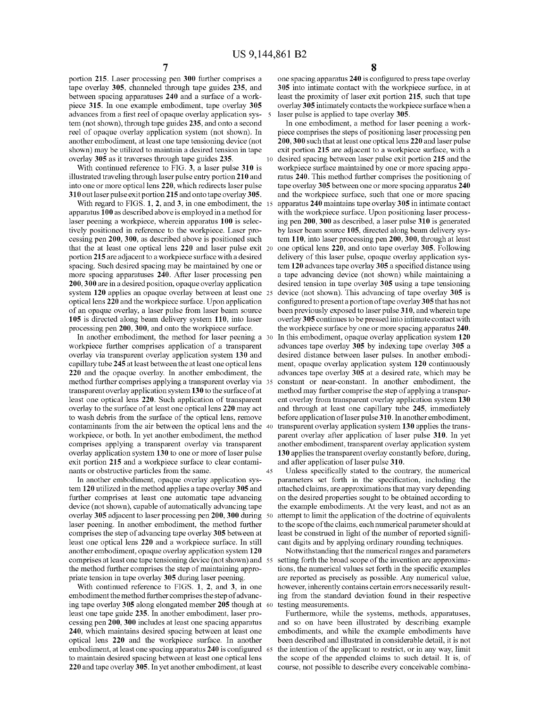10

portion 215. Laser processing pen 300 further comprises a tape overlay 305, channeled through tape guides 235, and between spacing apparatuses 240 and a surface of a workpiece 315. In one example embodiment, tape overlay 305 advances from a first reel of opaque overlay application system (not shown), through tape guides 235, and onto a second reel of opaque overlay application system (not shown). In another embodiment, at least one tape tensioning device (not shown) may be utilized to maintain a desired tension in tape overlay 305 as it traverses through tape guides 235.

With continued reference to FIG. 3, a laser pulse 310 is illustrated traveling through laser pulse entry portion 210 and into one or more optical lens 220, which redirects laser pulse 310 out laser pulse exit portion 215 and onto tape overlay 305.

With regard to FIGS.  $1, 2$ , and  $3$ , in one embodiment, the 15 apparatus 100 as described above is employed in a method for laser peening a workpiece, wherein apparatus 100 is selectively positioned in reference to the workpiece. Laser processing pen 200, 300, as described above is positioned such that the at least one optical lens 220 and laser pulse exit 20 portion 215 are adjacent to a workpiece surface with a desired spacing. Such desired spacing may be maintained by one or more spacing apparatuses 240. After laser processing pen 200, 300 are in a desired position, opaque overlay application system 120 applies an opaque overlay between at least one 25 optical lens 220 and the workpiece surface. Upon application of an opaque overlay, a laser pulse from laser beam source 105 is directed along beam delivery system 110, into laser processing pen 200, 300, and onto the workpiece surface.

In another embodiment, the method for laser peening a 30 workpiece further comprises application of a transparent overlay via transparent overlay application system 130 and capillary tube 245 at least between the at least one optical lens 220 and the opaque overlay. In another embodiment, the method further comprises applying a transparent overlay via 35 transparent overlay application system 130 to the surface of at least one optical lens 220. Such application of transparent overlay to the surface of at least one optical lens 220 may act to wash debris from the surface of the optical lens, remove contaminants from the air between the optical lens and the 40 workpiece, or both. In yet another embodiment, the method comprises applying a transparent overlay via transparent overlay application system 130 to one or more of laser pulse exit portion 215 and a workpiece surface to clear contaminants or obstructive particles from the same. 45

In another embodiment, opaque overlay application system 120 utilized in the method applies a tape overlay 305 and further comprises at least one automatic tape advancing device (not shown), capable of automatically advancing tape overlay 305 adjacent to laser processing pen 200, 300 during 50 laser peening. In another embodiment, the method further comprises the step of advancing tape overlay 305 between at least one optical lens 220 and a workpiece surface. In still another embodiment, opaque overlay application system 120 comprises at least one tape tensioning device (not shown) and 55 the method further comprises the step of maintaining appropriate tension in tape overlay 305 during laser peening.

With continued reference to FIGS. 1, 2, and 3, in one embodiment the method further comprises the step of advancing tape overlay 305 along elongated member 205 though at 60 least one tape guide 235. In another embodiment, laser processing pen 200, 300 includes at least one spacing apparatus 240, which maintains desired spacing between at least one optical lens 220 and the workpiece surface. In another embodiment, at least one spacing apparatus 240 is configured 65 to maintain desired spacing between at least one optical lens 220 and tape overlay 305. In yet another embodiment, at least

8

one spacing apparatus 240 is configured to press tape overlay 305 into intimate contact with the workpiece surface, in at least the proximity of laser exit portion 215, such that tape overlay 305 intimately contacts the workpiece surface when a laser pulse is applied to tape overlay 305.

In one embodiment, a method for laser peening a workpiece comprises the steps of positioning laser processing pen 200, 300 such that at least one optical lens 220 and laser pulse exit portion 215 are adjacent to a workpiece surface, with a desired spacing between laser pulse exit portion 215 and the workpiece surface maintained by one or more spacing apparatus 240. This method further comprises the positioning of tape overlay 305 between one or more spacing apparatus 240 and the workpiece surface, such that one or more spacing apparatus 240 maintains tape overlay 305 in intimate contact with the workpiece surface. Upon positioning laser processing pen 200, 300 as described, a laser pulse 310 is generated by laser beam source 105, directed along beam delivery system 110, into laser processing pen 200, 300, through at least one optical lens 220, and onto tape overlay 305. Following delivery of this laser pulse, opaque overlay application system 120 advances tape overlay 305 a specified distance using a tape advancing device (not shown) while maintaining a desired tension in tape overlay 305 using a tape tensioning device (not shown). This advancing of tape overlay 305 is configured to present a portion of tape overlay 305 that has not been previously exposed to laser pulse 310, and wherein tape overlay 305 continues to be pressed into intimate contact with the workpiece surface by one or more spacing apparatus 240. In this embodiment, opaque overlay application system 120 advances tape overlay 305 by indexing tape overlay 305 a desired distance between laser pulses. In another embodiment, opaque overlay application system 120 continuously advances tape overlay 305 at a desired rate, which may be constant or near-constant. In another embodiment, the method may further comprise the step of applying a transparent overlay from transparent overlay application system 130 and through at least one capillary tube 245, immediately before application of laser pulse 310. In another embodiment, transparent overlay application system 130 applies the transparent overlay after application of laser pulse 310. In yet another embodiment, transparent overlay application system 130 applies the transparent overlay constantly before, during, and after application of laser pulse 310.

Unless specifically stated to the contrary, the numerical parameters set forth in the specification, including the attached claims, are approximations that may vary depending on the desired properties sought to be obtained according to the example embodiments. At the very least, and not as an attempt to limit the application of the doctrine of equivalents to the scope of the claims, each numerical parameter should at least be construed in light of the number of reported significant digits and by applying ordinary rounding techniques.

Notwithstanding that the numerical ranges and parameters setting forth the broad scope of the invention are approximations, the numerical values set forth in the specific examples are reported as precisely as possible. Any numerical value, however, inherently contains certain errors necessarily resulting from the standard deviation found in their respective testing measurements.

Furthermore, while the systems, methods, apparatuses, and so on have been illustrated by describing example embodiments, and while the example embodiments have been described and illustrated in considerable detail, it is not the intention of the applicant to restrict, or in any way, limit the scope of the appended claims to such detail. It is, of course, not possible to describe every conceivable combina